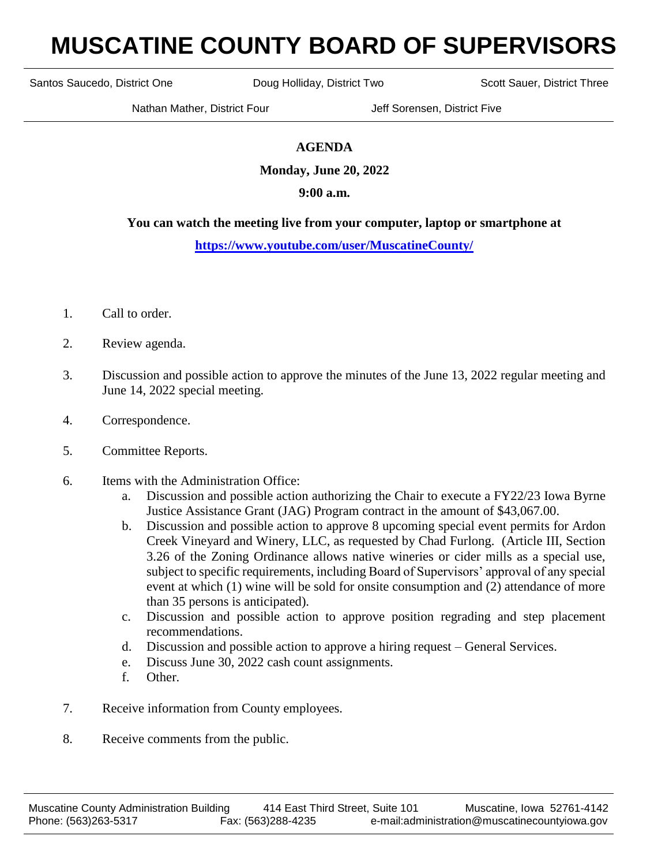## **MUSCATINE COUNTY BOARD OF SUPERVISORS**

Santos Saucedo, District One **Doug Holliday, District Two** Scott Sauer, District Three

Nathan Mather, District Four **Jeff Sorensen, District Five** 

## **AGENDA**

**Monday, June 20, 2022**

## **9:00 a.m.**

## **You can watch the meeting live from your computer, laptop or smartphone at**

**<https://www.youtube.com/user/MuscatineCounty/>**

- 1. Call to order.
- 2. Review agenda.
- 3. Discussion and possible action to approve the minutes of the June 13, 2022 regular meeting and June 14, 2022 special meeting.
- 4. Correspondence.
- 5. Committee Reports.
- 6. Items with the Administration Office:
	- a. Discussion and possible action authorizing the Chair to execute a FY22/23 Iowa Byrne Justice Assistance Grant (JAG) Program contract in the amount of \$43,067.00.
	- b. Discussion and possible action to approve 8 upcoming special event permits for Ardon Creek Vineyard and Winery, LLC, as requested by Chad Furlong. (Article III, Section 3.26 of the Zoning Ordinance allows native wineries or cider mills as a special use, subject to specific requirements, including Board of Supervisors' approval of any special event at which (1) wine will be sold for onsite consumption and (2) attendance of more than 35 persons is anticipated).
	- c. Discussion and possible action to approve position regrading and step placement recommendations.
	- d. Discussion and possible action to approve a hiring request General Services.
	- e. Discuss June 30, 2022 cash count assignments.
	- f. Other.
- 7. Receive information from County employees.
- 8. Receive comments from the public.